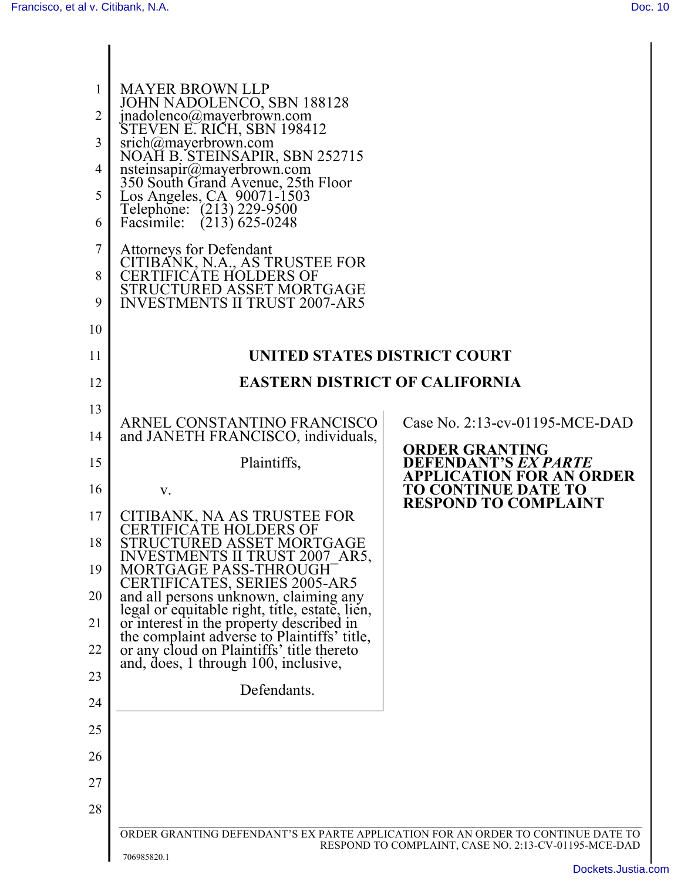